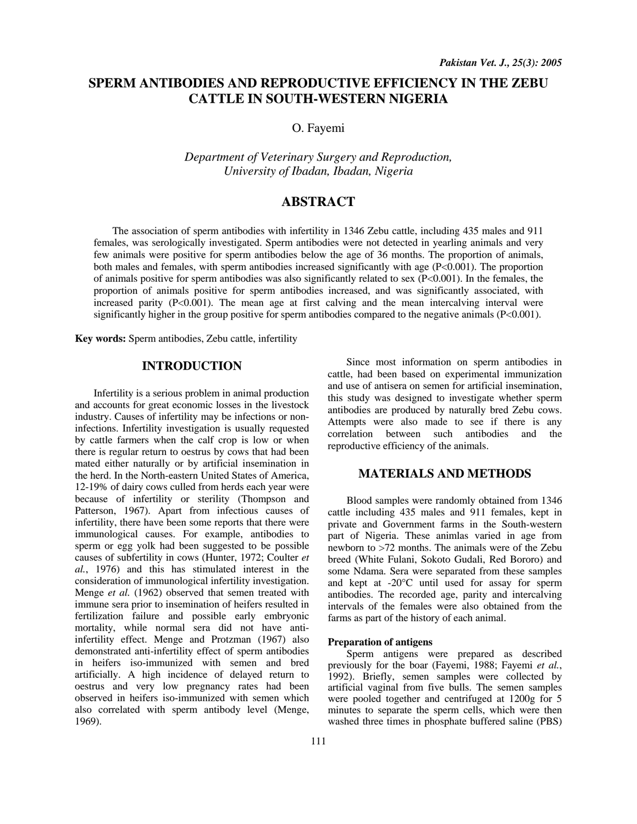# **SPERM ANTIBODIES AND REPRODUCTIVE EFFICIENCY IN THE ZEBU CATTLE IN SOUTH-WESTERN NIGERIA**

O. Fayemi

*Department of Veterinary Surgery and Reproduction, University of Ibadan, Ibadan, Nigeria* 

# **ABSTRACT**

The association of sperm antibodies with infertility in 1346 Zebu cattle, including 435 males and 911 females, was serologically investigated. Sperm antibodies were not detected in yearling animals and very few animals were positive for sperm antibodies below the age of 36 months. The proportion of animals, both males and females, with sperm antibodies increased significantly with age (P<0.001). The proportion of animals positive for sperm antibodies was also significantly related to sex (P<0.001). In the females, the proportion of animals positive for sperm antibodies increased, and was significantly associated, with increased parity  $(P<0.001)$ . The mean age at first calving and the mean intercalving interval were significantly higher in the group positive for sperm antibodies compared to the negative animals (P<0.001).

**Key words:** Sperm antibodies, Zebu cattle, infertility

## **INTRODUCTION**

Infertility is a serious problem in animal production and accounts for great economic losses in the livestock industry. Causes of infertility may be infections or noninfections. Infertility investigation is usually requested by cattle farmers when the calf crop is low or when there is regular return to oestrus by cows that had been mated either naturally or by artificial insemination in the herd. In the North-eastern United States of America, 12-19% of dairy cows culled from herds each year were because of infertility or sterility (Thompson and Patterson, 1967). Apart from infectious causes of infertility, there have been some reports that there were immunological causes. For example, antibodies to sperm or egg yolk had been suggested to be possible causes of subfertility in cows (Hunter, 1972; Coulter *et al.*, 1976) and this has stimulated interest in the consideration of immunological infertility investigation. Menge *et al.* (1962) observed that semen treated with immune sera prior to insemination of heifers resulted in fertilization failure and possible early embryonic mortality, while normal sera did not have antiinfertility effect. Menge and Protzman (1967) also demonstrated anti-infertility effect of sperm antibodies in heifers iso-immunized with semen and bred artificially. A high incidence of delayed return to oestrus and very low pregnancy rates had been observed in heifers iso-immunized with semen which also correlated with sperm antibody level (Menge, 1969).

Since most information on sperm antibodies in cattle, had been based on experimental immunization and use of antisera on semen for artificial insemination, this study was designed to investigate whether sperm antibodies are produced by naturally bred Zebu cows. Attempts were also made to see if there is any correlation between such antibodies and the reproductive efficiency of the animals.

## **MATERIALS AND METHODS**

 Blood samples were randomly obtained from 1346 cattle including 435 males and 911 females, kept in private and Government farms in the South-western part of Nigeria. These animlas varied in age from newborn to >72 months. The animals were of the Zebu breed (White Fulani, Sokoto Gudali, Red Bororo) and some Ndama. Sera were separated from these samples and kept at -20°C until used for assay for sperm antibodies. The recorded age, parity and intercalving intervals of the females were also obtained from the farms as part of the history of each animal.

### **Preparation of antigens**

Sperm antigens were prepared as described previously for the boar (Fayemi, 1988; Fayemi *et al.*, 1992). Briefly, semen samples were collected by artificial vaginal from five bulls. The semen samples were pooled together and centrifuged at 1200g for 5 minutes to separate the sperm cells, which were then washed three times in phosphate buffered saline (PBS)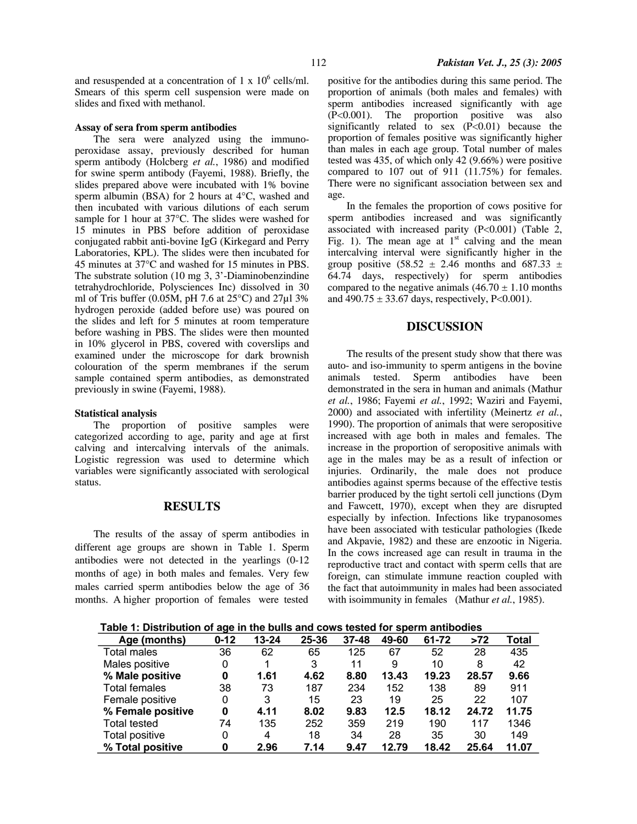and resuspended at a concentration of 1 x  $10^6$  cells/ml. Smears of this sperm cell suspension were made on slides and fixed with methanol.

### **Assay of sera from sperm antibodies**

The sera were analyzed using the immunoperoxidase assay, previously described for human sperm antibody (Holcberg *et al.*, 1986) and modified for swine sperm antibody (Fayemi, 1988). Briefly, the slides prepared above were incubated with 1% bovine sperm albumin (BSA) for 2 hours at 4°C, washed and then incubated with various dilutions of each serum sample for 1 hour at 37°C. The slides were washed for 15 minutes in PBS before addition of peroxidase conjugated rabbit anti-bovine IgG (Kirkegard and Perry Laboratories, KPL). The slides were then incubated for 45 minutes at 37°C and washed for 15 minutes in PBS. The substrate solution (10 mg 3, 3'-Diaminobenzindine tetrahydrochloride, Polysciences Inc) dissolved in 30 ml of Tris buffer (0.05M, pH 7.6 at 25°C) and 27µl 3% hydrogen peroxide (added before use) was poured on the slides and left for 5 minutes at room temperature before washing in PBS. The slides were then mounted in 10% glycerol in PBS, covered with coverslips and examined under the microscope for dark brownish colouration of the sperm membranes if the serum sample contained sperm antibodies, as demonstrated previously in swine (Fayemi, 1988).

#### **Statistical analysis**

The proportion of positive samples were categorized according to age, parity and age at first calving and intercalving intervals of the animals. Logistic regression was used to determine which variables were significantly associated with serological status.

## **RESULTS**

The results of the assay of sperm antibodies in different age groups are shown in Table 1. Sperm antibodies were not detected in the yearlings (0-12 months of age) in both males and females. Very few males carried sperm antibodies below the age of 36 months. A higher proportion of females were tested

positive for the antibodies during this same period. The proportion of animals (both males and females) with sperm antibodies increased significantly with age (P<0.001). The proportion positive was also significantly related to sex  $(P<0.01)$  because the proportion of females positive was significantly higher than males in each age group. Total number of males tested was 435, of which only 42 (9.66%) were positive compared to 107 out of 911 (11.75%) for females. There were no significant association between sex and age.

In the females the proportion of cows positive for sperm antibodies increased and was significantly associated with increased parity (P<0.001) (Table 2, Fig. 1). The mean age at  $1<sup>st</sup>$  calving and the mean intercalving interval were significantly higher in the group positive (58.52  $\pm$  2.46 months and 687.33  $\pm$ 64.74 days, respectively) for sperm antibodies compared to the negative animals  $(46.70 \pm 1.10 \text{ months})$ and  $490.75 \pm 33.67$  days, respectively, P<0.001).

# **DISCUSSION**

The results of the present study show that there was auto- and iso-immunity to sperm antigens in the bovine animals tested. Sperm antibodies have been demonstrated in the sera in human and animals (Mathur *et al.*, 1986; Fayemi *et al.*, 1992; Waziri and Fayemi, 2000) and associated with infertility (Meinertz *et al.*, 1990). The proportion of animals that were seropositive increased with age both in males and females. The increase in the proportion of seropositive animals with age in the males may be as a result of infection or injuries. Ordinarily, the male does not produce antibodies against sperms because of the effective testis barrier produced by the tight sertoli cell junctions (Dym and Fawcett, 1970), except when they are disrupted especially by infection. Infections like trypanosomes have been associated with testicular pathologies (Ikede and Akpavie, 1982) and these are enzootic in Nigeria. In the cows increased age can result in trauma in the reproductive tract and contact with sperm cells that are foreign, can stimulate immune reaction coupled with the fact that autoimmunity in males had been associated with isoimmunity in females (Mathur *et al.*, 1985).

| Table 1: Distribution of age in the bulls and cows tested for sperm antibodies |
|--------------------------------------------------------------------------------|
|--------------------------------------------------------------------------------|

| <br>.<br>9991111 annovalov |          |           |       |           |       |       |       |       |  |
|----------------------------|----------|-----------|-------|-----------|-------|-------|-------|-------|--|
| Age (months)               | $0 - 12$ | $13 - 24$ | 25-36 | $37 - 48$ | 49-60 | 61-72 | >72   | Total |  |
| Total males                | 36       | 62        | 65    | 125       | 67    | 52    | 28    | 435   |  |
| Males positive             | 0        | 1         | 3     | 11        | 9     | 10    | 8     | 42    |  |
| % Male positive            | 0        | 1.61      | 4.62  | 8.80      | 13.43 | 19.23 | 28.57 | 9.66  |  |
| <b>Total females</b>       | 38       | 73        | 187   | 234       | 152   | 138   | 89    | 911   |  |
| Female positive            | 0        | 3         | 15    | 23        | 19    | 25    | 22    | 107   |  |
| % Female positive          | 0        | 4.11      | 8.02  | 9.83      | 12.5  | 18.12 | 24.72 | 11.75 |  |
| <b>Total tested</b>        | 74       | 135       | 252   | 359       | 219   | 190   | 117   | 1346  |  |
| Total positive             | 0        | 4         | 18    | 34        | 28    | 35    | 30    | 149   |  |
| % Total positive           | 0        | 2.96      | 7.14  | 9.47      | 12.79 | 18.42 | 25.64 | 11.07 |  |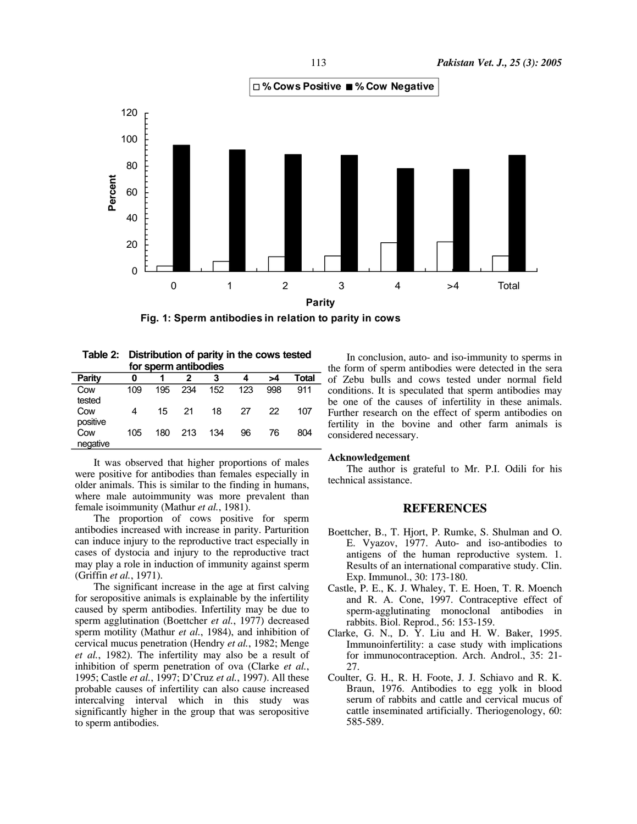

**Fig. 1: Sperm antibodies in relation to parity in cows**

| Table 2: Distribution of parity in the cows tested |
|----------------------------------------------------|
| for sperm antibodies                               |

| טטווטסאנווו שנומט וסו |     |     |     |     |     |     |       |  |  |
|-----------------------|-----|-----|-----|-----|-----|-----|-------|--|--|
| <b>Parity</b>         | 0   |     |     | 3   | 4   | >4  | Total |  |  |
| Cow                   | 109 | 195 | 234 | 152 | 123 | 998 | 911   |  |  |
| tested                |     |     |     |     |     |     |       |  |  |
| Cow                   | 4   | 15  | 21  | 18  | 27  | 22  | 107   |  |  |
| positive              |     |     |     |     |     |     |       |  |  |
| Cow                   | 105 | 180 | 213 | 134 | 96  | 76  | 804   |  |  |
| negative              |     |     |     |     |     |     |       |  |  |

It was observed that higher proportions of males were positive for antibodies than females especially in older animals. This is similar to the finding in humans, where male autoimmunity was more prevalent than female isoimmunity (Mathur *et al.*, 1981).

The proportion of cows positive for sperm antibodies increased with increase in parity. Parturition can induce injury to the reproductive tract especially in cases of dystocia and injury to the reproductive tract may play a role in induction of immunity against sperm (Griffin *et al.*, 1971).

The significant increase in the age at first calving for seropositive animals is explainable by the infertility caused by sperm antibodies. Infertility may be due to sperm agglutination (Boettcher *et al.*, 1977) decreased sperm motility (Mathur *et al.*, 1984), and inhibition of cervical mucus penetration (Hendry *et al.*, 1982; Menge *et al.*, 1982). The infertility may also be a result of inhibition of sperm penetration of ova (Clarke *et al.*, 1995; Castle *et al.*, 1997; D'Cruz *et al.*, 1997). All these probable causes of infertility can also cause increased intercalving interval which in this study was significantly higher in the group that was seropositive to sperm antibodies.

In conclusion, auto- and iso-immunity to sperms in the form of sperm antibodies were detected in the sera of Zebu bulls and cows tested under normal field conditions. It is speculated that sperm antibodies may be one of the causes of infertility in these animals. Further research on the effect of sperm antibodies on fertility in the bovine and other farm animals is considered necessary.

### **Acknowledgement**

The author is grateful to Mr. P.I. Odili for his technical assistance.

### **REFERENCES**

- Boettcher, B., T. Hjort, P. Rumke, S. Shulman and O. E. Vyazov, 1977. Auto- and iso-antibodies to antigens of the human reproductive system. 1. Results of an international comparative study. Clin. Exp. Immunol., 30: 173-180.
- Castle, P. E., K. J. Whaley, T. E. Hoen, T. R. Moench and R. A. Cone, 1997. Contraceptive effect of sperm-agglutinating monoclonal antibodies in rabbits. Biol. Reprod., 56: 153-159.
- Clarke, G. N., D. Y. Liu and H. W. Baker, 1995. Immunoinfertility: a case study with implications for immunocontraception. Arch. Androl., 35: 21- 27.
- Coulter, G. H., R. H. Foote, J. J. Schiavo and R. K. Braun, 1976. Antibodies to egg yolk in blood serum of rabbits and cattle and cervical mucus of cattle inseminated artificially. Theriogenology, 60: 585-589.